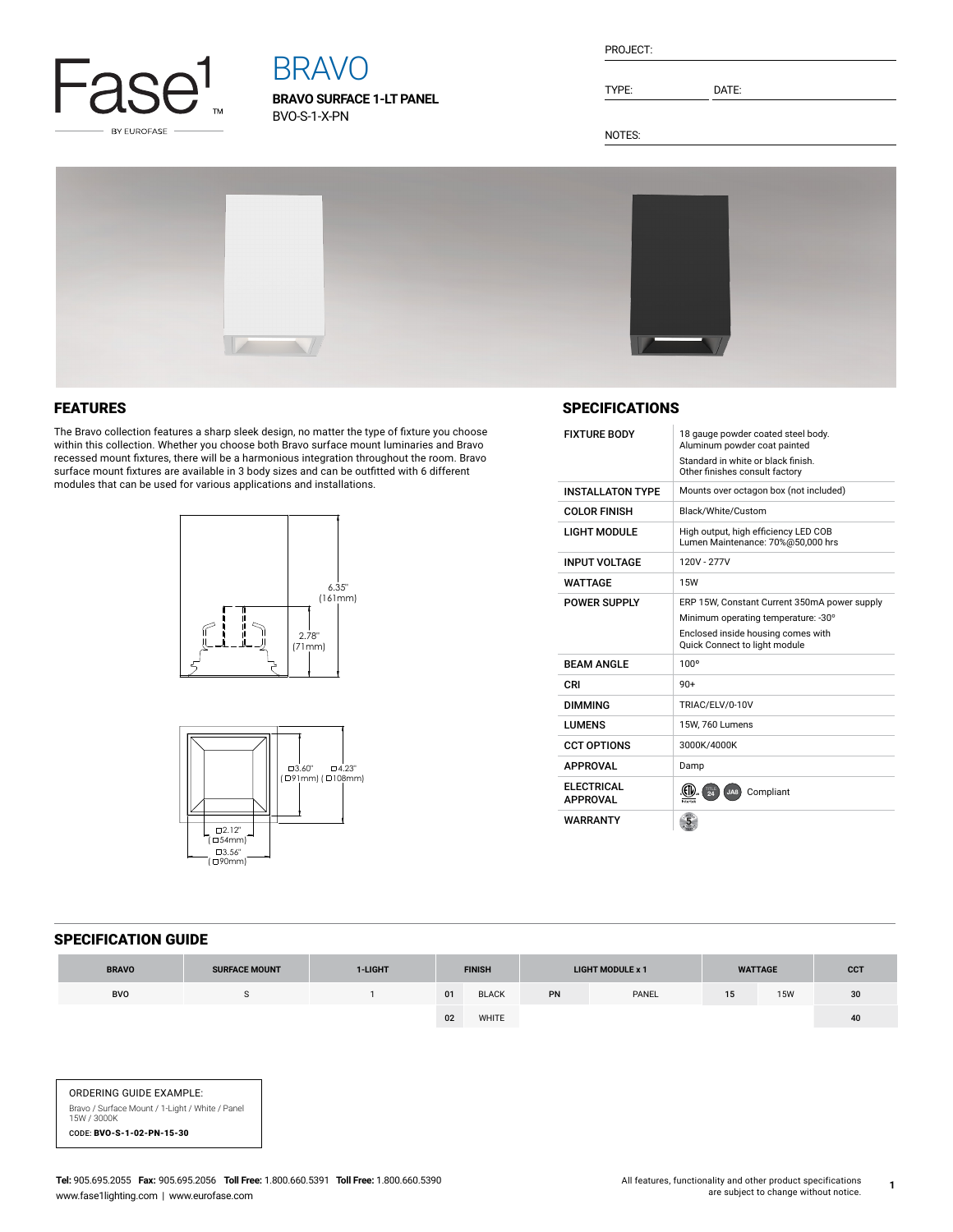

# BRAVO

**BRAVO SURFACE 1-LT PANEL** BVO-S-1-X-PN

TYPE: DATE:

NOTES:



## FEATURES

The Bravo collection features a sharp sleek design, no matter the type of fixture you choose within this collection. Whether you choose both Bravo surface mount luminaries and Bravo recessed mount fixtures, there will be a harmonious integration throughout the room. Bravo surface mount fixtures are available in 3 body sizes and can be outfitted with 6 different modules that can be used for various applications and installations.





#### **SPECIFICATIONS**

| <b>FIXTURE BODY</b>                  | 18 gauge powder coated steel body.<br>Aluminum powder coat painted<br>Standard in white or black finish.<br>Other finishes consult factory                 |  |  |  |  |  |
|--------------------------------------|------------------------------------------------------------------------------------------------------------------------------------------------------------|--|--|--|--|--|
| <b>INSTALL ATON TYPE</b>             | Mounts over octagon box (not included)                                                                                                                     |  |  |  |  |  |
| <b>COLOR FINISH</b>                  | Black/White/Custom                                                                                                                                         |  |  |  |  |  |
| <b>LIGHT MODULE</b>                  | High output, high efficiency LED COB<br>Lumen Maintenance: 70%@50,000 hrs                                                                                  |  |  |  |  |  |
| <b>INPUT VOLTAGE</b>                 | 120V - 277V                                                                                                                                                |  |  |  |  |  |
| WATTAGF                              | <b>15W</b>                                                                                                                                                 |  |  |  |  |  |
| POWER SUPPLY                         | ERP 15W, Constant Current 350mA power supply<br>Minimum operating temperature: -30°<br>Enclosed inside housing comes with<br>Quick Connect to light module |  |  |  |  |  |
| <b>BEAM ANGLE</b>                    | 100 <sup>o</sup>                                                                                                                                           |  |  |  |  |  |
| CRI                                  | 90+                                                                                                                                                        |  |  |  |  |  |
| <b>DIMMING</b>                       | TRIAC/ELV/0-10V                                                                                                                                            |  |  |  |  |  |
| LUMENS                               | 15W. 760 Lumens                                                                                                                                            |  |  |  |  |  |
| <b>CCT OPTIONS</b>                   | 3000K/4000K                                                                                                                                                |  |  |  |  |  |
| <b>APPROVAL</b>                      | Damp                                                                                                                                                       |  |  |  |  |  |
| <b>ELECTRICAL</b><br><b>APPROVAL</b> | Compliant<br>$\overline{24}$<br>JA8                                                                                                                        |  |  |  |  |  |
| <b>WARRANTY</b>                      |                                                                                                                                                            |  |  |  |  |  |

### SPECIFICATION GUIDE

| <b>BRAVO</b> | <b>SURFACE MOUNT</b> | 1-LIGHT | <b>FINISH</b> |              | <b>LIGHT MODULE x 1</b> |       | <b>WATTAGE</b> |            | <b>CCT</b> |
|--------------|----------------------|---------|---------------|--------------|-------------------------|-------|----------------|------------|------------|
| <b>BVO</b>   |                      |         | 01            | <b>BLACK</b> | PN                      | PANEL | 15             | <b>15W</b> | 30         |
|              |                      |         | 02            | WHITE        |                         |       |                |            | 40         |

ORDERING GUIDE EXAMPLE: Bravo / Surface Mount / 1-Light / White / Panel 15W / 3000K CODE: BVO-S-1-02-PN-15-30

**1**